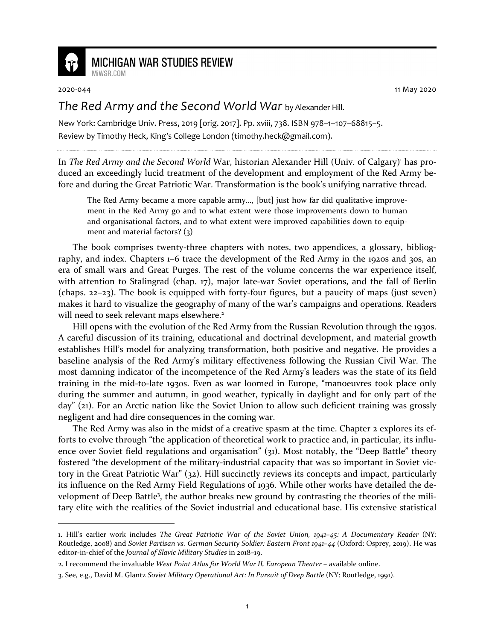

## **MICHIGAN WAR STUDIES REVIEW**

MiWSR COM

2020-044 11 May 2020

## *The Red Army and the Second World War* by Alexander Hill.

New York: Cambridge Univ. Press, 2019 [orig. 2017]. Pp. xviii, 738. ISBN 978–1–107–68815–5. Review by Timothy Heck, King's College London (timothy.heck@gmail.com).

In The Red Army and the Second World War, historian Alexander Hill (Univ. of Calgary)<sup>1</sup> has produced an exceedingly lucid treatment of the development and employment of the Red Army before and during the Great Patriotic War. Transformation is the book's unifying narrative thread.

The Red Army became a more capable army…, [but] just how far did qualitative improvement in the Red Army go and to what extent were those improvements down to human and organisational factors, and to what extent were improved capabilities down to equipment and material factors? (3)

The book comprises twenty-three chapters with notes, two appendices, a glossary, bibliography, and index. Chapters 1–6 trace the development of the Red Army in the 1920s and 30s, an era of small wars and Great Purges. The rest of the volume concerns the war experience itself, with attention to Stalingrad (chap. 17), major late-war Soviet operations, and the fall of Berlin (chaps. 22–23). The book is equipped with forty-four figures, but a paucity of maps (just seven) makes it hard to visualize the geography of many of the war's campaigns and operations. Readers will need to seek relevant maps elsewhere.<sup>2</sup>

Hill opens with the evolution of the Red Army from the Russian Revolution through the 1930s. A careful discussion of its training, educational and doctrinal development, and material growth establishes Hill's model for analyzing transformation, both positive and negative. He provides a baseline analysis of the Red Army's military effectiveness following the Russian Civil War. The most damning indicator of the incompetence of the Red Army's leaders was the state of its field training in the mid-to-late 1930s. Even as war loomed in Europe, "manoeuvres took place only during the summer and autumn, in good weather, typically in daylight and for only part of the day" (21). For an Arctic nation like the Soviet Union to allow such deficient training was grossly negligent and had dire consequences in the coming war.

The Red Army was also in the midst of a creative spasm at the time. Chapter 2 explores its efforts to evolve through "the application of theoretical work to practice and, in particular, its influence over Soviet field regulations and organisation" (31). Most notably, the "Deep Battle" theory fostered "the development of the military-industrial capacity that was so important in Soviet victory in the Great Patriotic War" (32). Hill succinctly reviews its concepts and impact, particularly its influence on the Red Army Field Regulations of 1936. While other works have detailed the development of Deep Battle<sup>3</sup>, the author breaks new ground by contrasting the theories of the military elite with the realities of the Soviet industrial and educational base. His extensive statistical

<sup>1.</sup> Hill's earlier work includes *The Great Patriotic War of the Soviet Union, 1941–45: A Documentary Reader* (NY: Routledge, 2008) and *Soviet Partisan vs. German Security Soldier: Eastern Front 1941–44* (Oxford: Osprey, 2019). He was editor-in-chief of the *Journal of Slavic Military Studies* in 2018–19.

<sup>2.</sup> I recommend the invaluable *West Point Atlas for World War II, European Theater* – available online.

<sup>3.</sup> See, e.g., David M. Glantz *Soviet Military Operational Art: In Pursuit of Deep Battle* (NY: Routledge, 1991).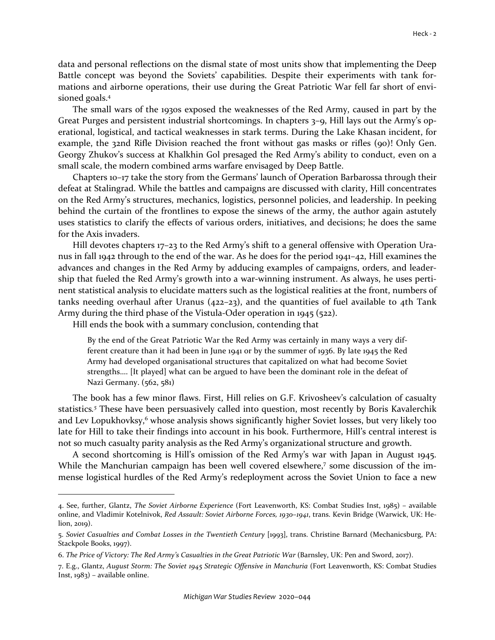data and personal reflections on the dismal state of most units show that implementing the Deep Battle concept was beyond the Soviets' capabilities. Despite their experiments with tank formations and airborne operations, their use during the Great Patriotic War fell far short of envisioned goals.<sup>4</sup>

The small wars of the 1930s exposed the weaknesses of the Red Army, caused in part by the Great Purges and persistent industrial shortcomings. In chapters 3–9, Hill lays out the Army's operational, logistical, and tactical weaknesses in stark terms. During the Lake Khasan incident, for example, the 32nd Rifle Division reached the front without gas masks or rifles (90)! Only Gen. Georgy Zhukov's success at Khalkhin Gol presaged the Red Army's ability to conduct, even on a small scale, the modern combined arms warfare envisaged by Deep Battle.

Chapters 10–17 take the story from the Germans' launch of Operation Barbarossa through their defeat at Stalingrad. While the battles and campaigns are discussed with clarity, Hill concentrates on the Red Army's structures, mechanics, logistics, personnel policies, and leadership. In peeking behind the curtain of the frontlines to expose the sinews of the army, the author again astutely uses statistics to clarify the effects of various orders, initiatives, and decisions; he does the same for the Axis invaders.

Hill devotes chapters 17-23 to the Red Army's shift to a general offensive with Operation Uranus in fall 1942 through to the end of the war. As he does for the period 1941–42, Hill examines the advances and changes in the Red Army by adducing examples of campaigns, orders, and leadership that fueled the Red Army's growth into a war-winning instrument. As always, he uses pertinent statistical analysis to elucidate matters such as the logistical realities at the front, numbers of tanks needing overhaul after Uranus (422–23), and the quantities of fuel available to 4th Tank Army during the third phase of the Vistula-Oder operation in 1945 (522).

Hill ends the book with a summary conclusion, contending that

By the end of the Great Patriotic War the Red Army was certainly in many ways a very different creature than it had been in June 1941 or by the summer of 1936. By late 1945 the Red Army had developed organisational structures that capitalized on what had become Soviet strengths…. [It played] what can be argued to have been the dominant role in the defeat of Nazi Germany. (562, 581)

The book has a few minor flaws. First, Hill relies on G.F. Krivosheev's calculation of casualty statistics*. <sup>5</sup>* These have been persuasively called into question, most recently by Boris Kavalerchik and Lev Lopukhovksy,<sup>6</sup> whose analysis shows significantly higher Soviet losses, but very likely too late for Hill to take their findings into account in his book. Furthermore, Hill's central interest is not so much casualty parity analysis as the Red Army's organizational structure and growth.

A second shortcoming is Hill's omission of the Red Army's war with Japan in August 1945. While the Manchurian campaign has been well covered elsewhere,<sup>7</sup> some discussion of the immense logistical hurdles of the Red Army's redeployment across the Soviet Union to face a new

<sup>4.</sup> See, further, Glantz, *The Soviet Airborne Experience* (Fort Leavenworth, KS: Combat Studies Inst, 1985) – available online, and Vladimir Kotelnivok, *Red Assault: Soviet Airborne Forces, 1930–1941*, trans. Kevin Bridge (Warwick, UK: Helion, 2019).

<sup>5.</sup> *Soviet Casualties and Combat Losses in the Twentieth Century* [1993], trans. Christine Barnard (Mechanicsburg, PA: Stackpole Books, 1997).

<sup>6.</sup> *The Price of Victory: The Red Army's Casualties in the Great Patriotic War* (Barnsley, UK: Pen and Sword, 2017).

<sup>7.</sup> E.g., Glantz, *August Storm: The Soviet 1945 Strategic Offensive in Manchuria* (Fort Leavenworth, KS: Combat Studies Inst, 1983) – available online.